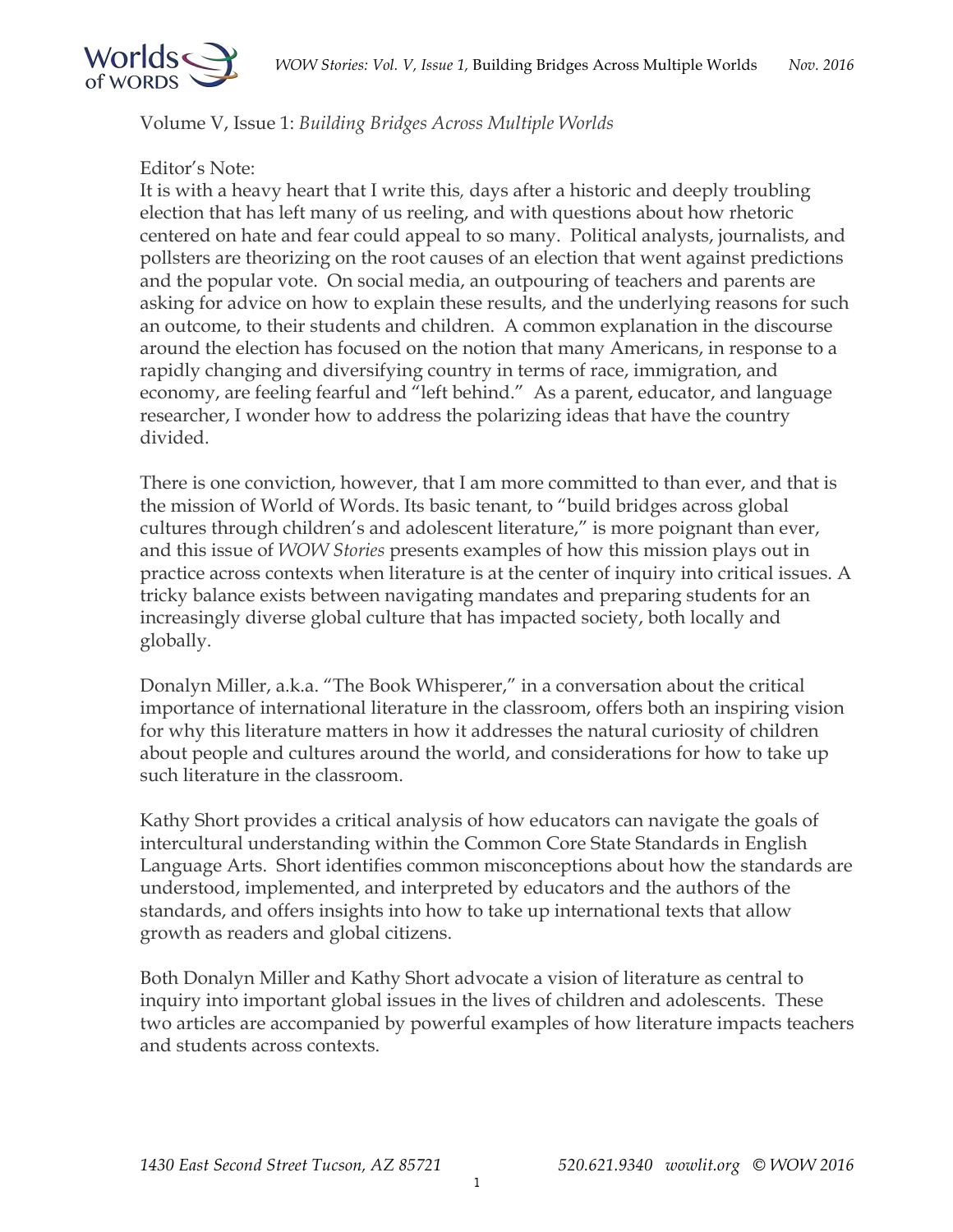

Volume V, Issue 1: *Building Bridges Across Multiple Worlds* 

## Editor's Note:

It is with a heavy heart that I write this*,* days after a historic and deeply troubling election that has left many of us reeling, and with questions about how rhetoric centered on hate and fear could appeal to so many. Political analysts, journalists, and pollsters are theorizing on the root causes of an election that went against predictions and the popular vote. On social media, an outpouring of teachers and parents are asking for advice on how to explain these results, and the underlying reasons for such an outcome, to their students and children. A common explanation in the discourse around the election has focused on the notion that many Americans, in response to a rapidly changing and diversifying country in terms of race, immigration, and economy, are feeling fearful and "left behind." As a parent, educator, and language researcher, I wonder how to address the polarizing ideas that have the country divided.

There is one conviction, however, that I am more committed to than ever, and that is the mission of World of Words. Its basic tenant, to "build bridges across global cultures through children's and adolescent literature," is more poignant than ever, and this issue of *WOW Stories* presents examples of how this mission plays out in practice across contexts when literature is at the center of inquiry into critical issues. A tricky balance exists between navigating mandates and preparing students for an increasingly diverse global culture that has impacted society, both locally and globally.

Donalyn Miller, a.k.a. "The Book Whisperer," in a conversation about the critical importance of international literature in the classroom, offers both an inspiring vision for why this literature matters in how it addresses the natural curiosity of children about people and cultures around the world, and considerations for how to take up such literature in the classroom.

Kathy Short provides a critical analysis of how educators can navigate the goals of intercultural understanding within the Common Core State Standards in English Language Arts. Short identifies common misconceptions about how the standards are understood, implemented, and interpreted by educators and the authors of the standards, and offers insights into how to take up international texts that allow growth as readers and global citizens.

Both Donalyn Miller and Kathy Short advocate a vision of literature as central to inquiry into important global issues in the lives of children and adolescents. These two articles are accompanied by powerful examples of how literature impacts teachers and students across contexts.